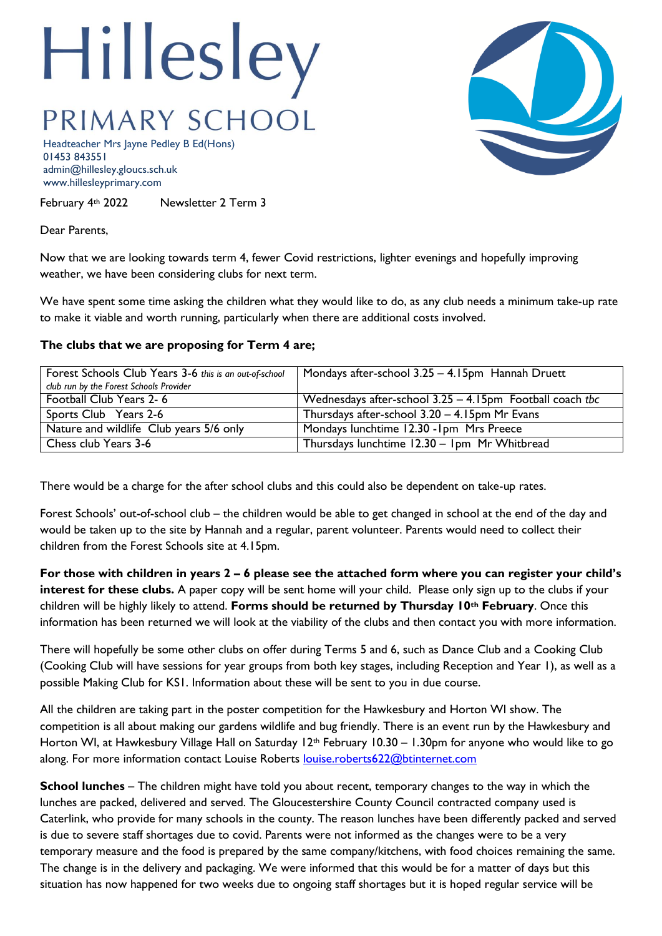## Hillesley PRIMARY SCHOOL

Headteacher Mrs Jayne Pedley B Ed(Hons) 01453 843551 admin@hillesley.gloucs.sch.uk www.hillesleyprimary.com

February 4th 2022 Newsletter 2 Term 3

Dear Parents,

Now that we are looking towards term 4, fewer Covid restrictions, lighter evenings and hopefully improving weather, we have been considering clubs for next term.

We have spent some time asking the children what they would like to do, as any club needs a minimum take-up rate to make it viable and worth running, particularly when there are additional costs involved.

## **The clubs that we are proposing for Term 4 are;**

| Forest Schools Club Years 3-6 this is an out-of-school | Mondays after-school 3.25 - 4.15pm Hannah Druett            |
|--------------------------------------------------------|-------------------------------------------------------------|
| club run by the Forest Schools Provider                |                                                             |
| Football Club Years 2-6                                | Wednesdays after-school $3.25 - 4.15$ pm Football coach the |
| Sports Club Years 2-6                                  | Thursdays after-school 3.20 - 4.15pm Mr Evans               |
| Nature and wildlife Club years 5/6 only                | Mondays lunchtime 12.30 - Ipm Mrs Preece                    |
| Chess club Years 3-6                                   | Thursdays lunchtime 12.30 - 1pm Mr Whitbread                |

There would be a charge for the after school clubs and this could also be dependent on take-up rates.

Forest Schools' out-of-school club – the children would be able to get changed in school at the end of the day and would be taken up to the site by Hannah and a regular, parent volunteer. Parents would need to collect their children from the Forest Schools site at 4.15pm.

**For those with children in years 2 – 6 please see the attached form where you can register your child's interest for these clubs.** A paper copy will be sent home will your child. Please only sign up to the clubs if your children will be highly likely to attend. **Forms should be returned by Thursday 10th February**. Once this information has been returned we will look at the viability of the clubs and then contact you with more information.

There will hopefully be some other clubs on offer during Terms 5 and 6, such as Dance Club and a Cooking Club (Cooking Club will have sessions for year groups from both key stages, including Reception and Year 1), as well as a possible Making Club for KS1. Information about these will be sent to you in due course.

All the children are taking part in the poster competition for the Hawkesbury and Horton WI show. The competition is all about making our gardens wildlife and bug friendly. There is an event run by the Hawkesbury and Horton WI, at Hawkesbury Village Hall on Saturday 12<sup>th</sup> February 10.30 – 1.30pm for anyone who would like to go along. For more information contact Louise Roberts [louise.roberts622@btinternet.com](mailto:louise.roberts622@btinternet.com)

**School lunches** – The children might have told you about recent, temporary changes to the way in which the lunches are packed, delivered and served. The Gloucestershire County Council contracted company used is Caterlink, who provide for many schools in the county. The reason lunches have been differently packed and served is due to severe staff shortages due to covid. Parents were not informed as the changes were to be a very temporary measure and the food is prepared by the same company/kitchens, with food choices remaining the same. The change is in the delivery and packaging. We were informed that this would be for a matter of days but this situation has now happened for two weeks due to ongoing staff shortages but it is hoped regular service will be

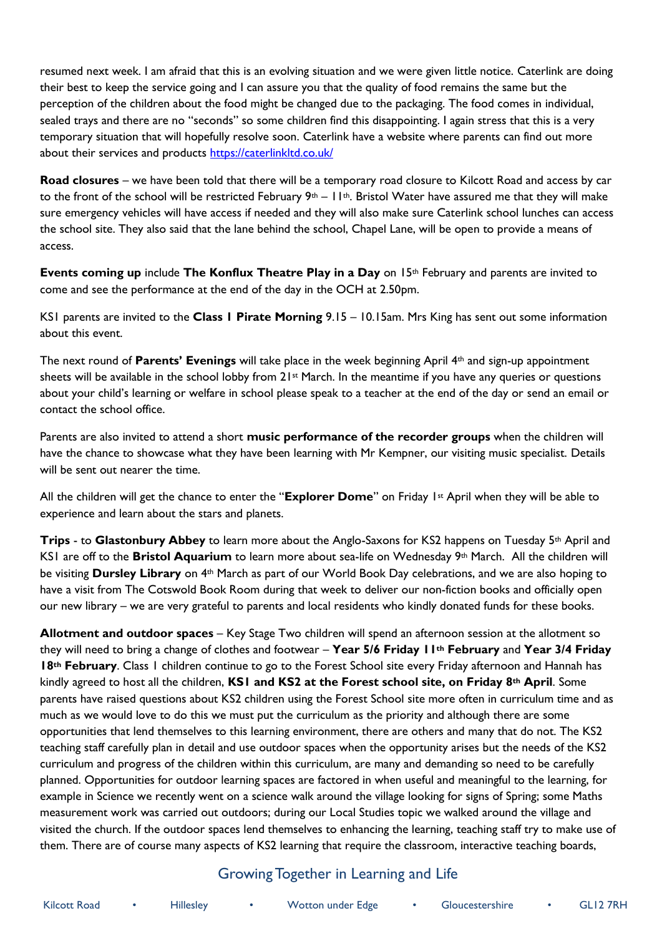resumed next week. I am afraid that this is an evolving situation and we were given little notice. Caterlink are doing their best to keep the service going and I can assure you that the quality of food remains the same but the perception of the children about the food might be changed due to the packaging. The food comes in individual, sealed trays and there are no "seconds" so some children find this disappointing. I again stress that this is a very temporary situation that will hopefully resolve soon. Caterlink have a website where parents can find out more about their services and products <https://caterlinkltd.co.uk/>

**Road closures** – we have been told that there will be a temporary road closure to Kilcott Road and access by car to the front of the school will be restricted February  $9<sup>th</sup> - 11<sup>th</sup>$ . Bristol Water have assured me that they will make sure emergency vehicles will have access if needed and they will also make sure Caterlink school lunches can access the school site. They also said that the lane behind the school, Chapel Lane, will be open to provide a means of access.

**Events coming up** include **The Konflux Theatre Play in a Day** on 15th February and parents are invited to come and see the performance at the end of the day in the OCH at 2.50pm.

KS1 parents are invited to the **Class 1 Pirate Morning** 9.15 – 10.15am. Mrs King has sent out some information about this event.

The next round of **Parents' Evenings** will take place in the week beginning April 4th and sign-up appointment sheets will be available in the school lobby from  $21<sup>st</sup>$  March. In the meantime if you have any queries or questions about your child's learning or welfare in school please speak to a teacher at the end of the day or send an email or contact the school office.

Parents are also invited to attend a short **music performance of the recorder groups** when the children will have the chance to showcase what they have been learning with Mr Kempner, our visiting music specialist. Details will be sent out nearer the time.

All the children will get the chance to enter the "**Explorer Dome**" on Friday 1st April when they will be able to experience and learn about the stars and planets.

**Trips** - to **Glastonbury Abbey** to learn more about the Anglo-Saxons for KS2 happens on Tuesday 5th April and KS1 are off to the **Bristol Aquarium** to learn more about sea-life on Wednesday 9th March. All the children will be visiting **Dursley Library** on 4th March as part of our World Book Day celebrations, and we are also hoping to have a visit from The Cotswold Book Room during that week to deliver our non-fiction books and officially open our new library – we are very grateful to parents and local residents who kindly donated funds for these books.

**Allotment and outdoor spaces** – Key Stage Two children will spend an afternoon session at the allotment so they will need to bring a change of clothes and footwear – **Year 5/6 Friday 11th February** and **Year 3/4 Friday 18th February**. Class 1 children continue to go to the Forest School site every Friday afternoon and Hannah has kindly agreed to host all the children, **KS1 and KS2 at the Forest school site, on Friday 8th April**. Some parents have raised questions about KS2 children using the Forest School site more often in curriculum time and as much as we would love to do this we must put the curriculum as the priority and although there are some opportunities that lend themselves to this learning environment, there are others and many that do not. The KS2 teaching staff carefully plan in detail and use outdoor spaces when the opportunity arises but the needs of the KS2 curriculum and progress of the children within this curriculum, are many and demanding so need to be carefully planned. Opportunities for outdoor learning spaces are factored in when useful and meaningful to the learning, for example in Science we recently went on a science walk around the village looking for signs of Spring; some Maths measurement work was carried out outdoors; during our Local Studies topic we walked around the village and visited the church. If the outdoor spaces lend themselves to enhancing the learning, teaching staff try to make use of them. There are of course many aspects of KS2 learning that require the classroom, interactive teaching boards,

## Growing Together in Learning and Life